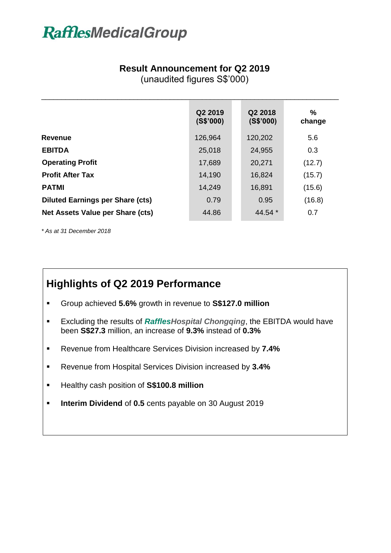# **RafflesMedicalGroup**

#### **Result Announcement for Q2 2019**

(unaudited figures S\$'000)

 $\overline{\phantom{a}}$  , and the contribution of the contribution of the contribution of the contribution of the contribution of the contribution of the contribution of the contribution of the contribution of the contribution of the

|                                         | Q2 2019<br>(S\$'000) | Q2 2018<br>(S\$'000) | %<br>change |
|-----------------------------------------|----------------------|----------------------|-------------|
| <b>Revenue</b>                          | 126,964              | 120,202              | 5.6         |
| <b>EBITDA</b>                           | 25,018               | 24,955               | 0.3         |
| <b>Operating Profit</b>                 | 17,689               | 20,271               | (12.7)      |
| <b>Profit After Tax</b>                 | 14,190               | 16,824               | (15.7)      |
| <b>PATMI</b>                            | 14,249               | 16,891               | (15.6)      |
| <b>Diluted Earnings per Share (cts)</b> | 0.79                 | 0.95                 | (16.8)      |
| Net Assets Value per Share (cts)        | 44.86                | 44.54 $*$            | 0.7         |

*\* As at 31 December 2018*

### **Highlights of Q2 2019 Performance**

- Group achieved **5.6%** growth in revenue to **S\$127.0 million**
- Excluding the results of *RafflesHospital Chongqing*, the EBITDA would have been **S\$27.3** million, an increase of **9.3%** instead of **0.3%**
- Revenue from Healthcare Services Division increased by **7.4%**
- Revenue from Hospital Services Division increased by **3.4%**
- Healthy cash position of **S\$100.8 million**
- **Interim Dividend** of **0.5** cents payable on 30 August 2019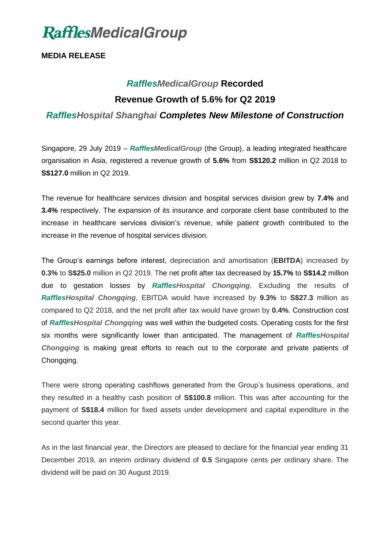

**MEDIA RELEASE**

## *RafflesMedicalGroup* **Recorded Revenue Growth of 5.6% for Q2 2019** *RafflesHospital Shanghai Completes New Milestone of Construction*

Singapore, 29 July 2019 – *RafflesMedicalGroup* (the Group), a leading integrated healthcare organisation in Asia, registered a revenue growth of **5.6%** from **S\$120.2** million in Q2 2018 to **S\$127.0** million in Q2 2019.

The revenue for healthcare services division and hospital services division grew by **7.4%** and **3.4%** respectively. The expansion of its insurance and corporate client base contributed to the increase in healthcare services division's revenue, while patient growth contributed to the increase in the revenue of hospital services division.

The Group's earnings before interest, depreciation and amortisation (**EBITDA**) increased by **0.3%** to **S\$25.0** million in Q2 2019. The net profit after tax decreased by **15.7%** to **S\$14.2** million due to gestation losses by *RafflesHospital Chongqing*. Excluding the results of *RafflesHospital Chongqing*, EBITDA would have increased by **9.3%** to **S\$27.3** million as compared to Q2 2018, and the net profit after tax would have grown by **0.4%**. Construction cost of *RafflesHospital Chongqing* was well within the budgeted costs. Operating costs for the first six months were significantly lower than anticipated. The management of *RafflesHospital Chongqing* is making great efforts to reach out to the corporate and private patients of Chongqing.

There were strong operating cashflows generated from the Group's business operations, and they resulted in a healthy cash position of **S\$100.8** million. This was after accounting for the payment of **S\$18.4** million for fixed assets under development and capital expenditure in the second quarter this year.

As in the last financial year, the Directors are pleased to declare for the financial year ending 31 December 2019, an interim ordinary dividend of **0.5** Singapore cents per ordinary share. The dividend will be paid on 30 August 2019.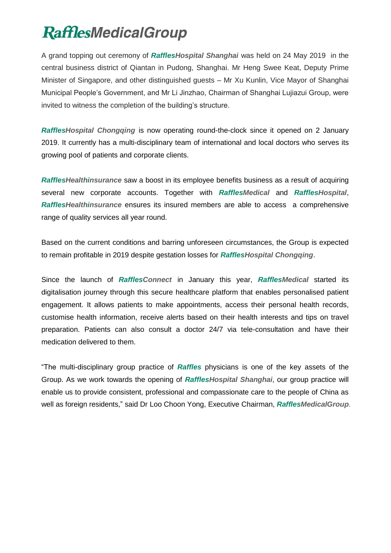A grand topping out ceremony of *RafflesHospital Shanghai* was held on 24 May 2019 in the central business district of Qiantan in Pudong, Shanghai. Mr Heng Swee Keat, Deputy Prime Minister of Singapore, and other distinguished guests – Mr Xu Kunlin, Vice Mayor of Shanghai Municipal People's Government, and Mr Li Jinzhao, Chairman of Shanghai Lujiazui Group, were invited to witness the completion of the building's structure.

*RafflesHospital Chongqing* is now operating round-the-clock since it opened on 2 January 2019. It currently has a multi-disciplinary team of international and local doctors who serves its growing pool of patients and corporate clients.

*RafflesHealthinsurance* saw a boost in its employee benefits business as a result of acquiring several new corporate accounts. Together with *RafflesMedical* and *RafflesHospital*, *RafflesHealthinsurance* ensures its insured members are able to access a comprehensive range of quality services all year round.

Based on the current conditions and barring unforeseen circumstances, the Group is expected to remain profitable in 2019 despite gestation losses for *RafflesHospital Chongqing*.

Since the launch of *RafflesConnect* in January this year, *RafflesMedical* started its digitalisation journey through this secure healthcare platform that enables personalised patient engagement. It allows patients to make appointments, access their personal health records, customise health information, receive alerts based on their health interests and tips on travel preparation. Patients can also consult a doctor 24/7 via tele-consultation and have their medication delivered to them.

"The multi-disciplinary group practice of *Raffles* physicians is one of the key assets of the Group. As we work towards the opening of *RafflesHospital Shanghai*, our group practice will enable us to provide consistent, professional and compassionate care to the people of China as well as foreign residents," said Dr Loo Choon Yong, Executive Chairman, *RafflesMedicalGroup*.